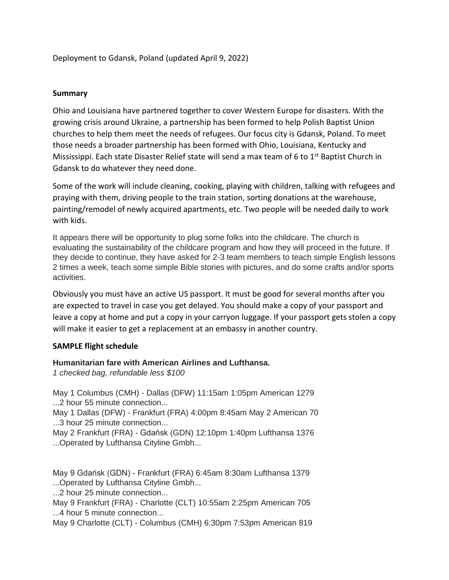Deployment to Gdansk, Poland (updated April 9, 2022)

## **Summary**

Ohio and Louisiana have partnered together to cover Western Europe for disasters. With the growing crisis around Ukraine, a partnership has been formed to help Polish Baptist Union churches to help them meet the needs of refugees. Our focus city is Gdansk, Poland. To meet those needs a broader partnership has been formed with Ohio, Louisiana, Kentucky and Mississippi. Each state Disaster Relief state will send a max team of 6 to 1<sup>st</sup> Baptist Church in Gdansk to do whatever they need done.

Some of the work will include cleaning, cooking, playing with children, talking with refugees and praying with them, driving people to the train station, sorting donations at the warehouse, painting/remodel of newly acquired apartments, etc. Two people will be needed daily to work with kids.

It appears there will be opportunity to plug some folks into the childcare. The church is evaluating the sustainability of the childcare program and how they will proceed in the future. If they decide to continue, they have asked for 2-3 team members to teach simple English lessons 2 times a week, teach some simple Bible stories with pictures, and do some crafts and/or sports activities.

Obviously you must have an active US passport. It must be good for several months after you are expected to travel in case you get delayed. You should make a copy of your passport and leave a copy at home and put a copy in your carryon luggage. If your passport gets stolen a copy will make it easier to get a replacement at an embassy in another country.

# **SAMPLE flight schedule**

# **Humanitarian fare with American Airlines and Lufthansa.**

*1 checked bag, refundable less \$100*

May 1 Columbus (CMH) - Dallas (DFW) 11:15am 1:05pm American 1279 ...2 hour 55 minute connection...

May 1 Dallas (DFW) - Frankfurt (FRA) 4:00pm 8:45am May 2 American 70 ...3 hour 25 minute connection...

May 2 Frankfurt (FRA) - Gdańsk (GDN) 12:10pm 1:40pm Lufthansa 1376 ...Operated by Lufthansa Cityline Gmbh...

May 9 Gdańsk (GDN) - Frankfurt (FRA) 6:45am 8:30am Lufthansa 1379 ...Operated by Lufthansa Cityline Gmbh...

...2 hour 25 minute connection...

May 9 Frankfurt (FRA) - Charlotte (CLT) 10:55am 2:25pm American 705 ...4 hour 5 minute connection...

May 9 Charlotte (CLT) - Columbus (CMH) 6:30pm 7:53pm American 819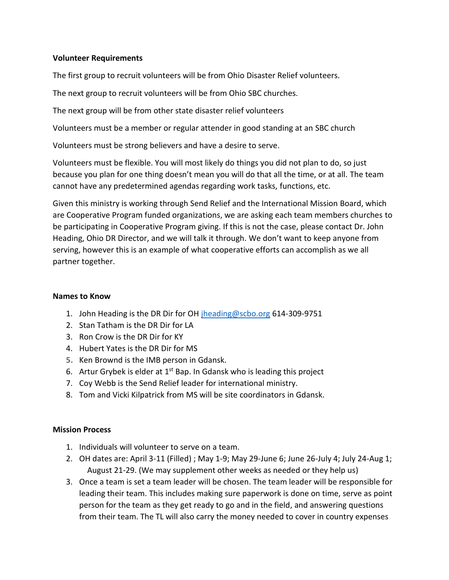### **Volunteer Requirements**

The first group to recruit volunteers will be from Ohio Disaster Relief volunteers.

The next group to recruit volunteers will be from Ohio SBC churches.

The next group will be from other state disaster relief volunteers

Volunteers must be a member or regular attender in good standing at an SBC church

Volunteers must be strong believers and have a desire to serve.

Volunteers must be flexible. You will most likely do things you did not plan to do, so just because you plan for one thing doesn't mean you will do that all the time, or at all. The team cannot have any predetermined agendas regarding work tasks, functions, etc.

Given this ministry is working through Send Relief and the International Mission Board, which are Cooperative Program funded organizations, we are asking each team members churches to be participating in Cooperative Program giving. If this is not the case, please contact Dr. John Heading, Ohio DR Director, and we will talk it through. We don't want to keep anyone from serving, however this is an example of what cooperative efforts can accomplish as we all partner together.

### **Names to Know**

- 1. John Heading is the DR Dir for OH [jheading@scbo.org](mailto:jheading@scbo.org) 614-309-9751
- 2. Stan Tatham is the DR Dir for LA
- 3. Ron Crow is the DR Dir for KY
- 4. Hubert Yates is the DR Dir for MS
- **5.** Ken Brownd is the IMB person in Gdansk.
- 6. Artur Grybek is elder at  $1<sup>st</sup>$  Bap. In Gdansk who is leading this project
- 7. Coy Webb is the Send Relief leader for international ministry.
- 8. Tom and Vicki Kilpatrick from MS will be site coordinators in Gdansk.

### **Mission Process**

- 1. Individuals will volunteer to serve on a team.
- 2. OH dates are: April 3-11 (Filled) ; May 1-9; May 29-June 6; June 26-July 4; July 24-Aug 1; August 21-29. (We may supplement other weeks as needed or they help us)
- 3. Once a team is set a team leader will be chosen. The team leader will be responsible for leading their team. This includes making sure paperwork is done on time, serve as point person for the team as they get ready to go and in the field, and answering questions from their team. The TL will also carry the money needed to cover in country expenses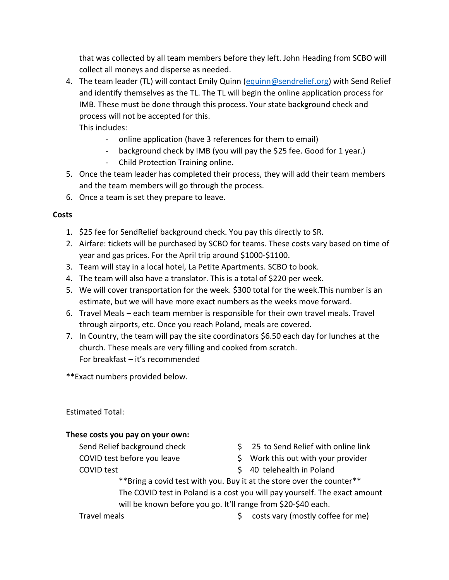that was collected by all team members before they left. John Heading from SCBO will collect all moneys and disperse as needed.

4. The team leader (TL) will contact Emily Quinn [\(equinn@sendrelief.org\)](mailto:equinn@sendrelief.org) with Send Relief and identify themselves as the TL. The TL will begin the online application process for IMB. These must be done through this process. Your state background check and process will not be accepted for this.

This includes:

- online application (have 3 references for them to email)
- background check by IMB (you will pay the \$25 fee. Good for 1 year.)
- Child Protection Training online.
- 5. Once the team leader has completed their process, they will add their team members and the team members will go through the process.
- 6. Once a team is set they prepare to leave.

# **Costs**

- 1. \$25 fee for SendRelief background check. You pay this directly to SR.
- 2. Airfare: tickets will be purchased by SCBO for teams. These costs vary based on time of year and gas prices. For the April trip around \$1000-\$1100.
- 3. Team will stay in a local hotel, La Petite Apartments. SCBO to book.
- 4. The team will also have a translator. This is a total of \$220 per week.
- 5. We will cover transportation for the week. \$300 total for the week.This number is an estimate, but we will have more exact numbers as the weeks move forward.
- 6. Travel Meals each team member is responsible for their own travel meals. Travel through airports, etc. Once you reach Poland, meals are covered.
- 7. In Country, the team will pay the site coordinators \$6.50 each day for lunches at the church. These meals are very filling and cooked from scratch. For breakfast – it's recommended

\*\*Exact numbers provided below.

Estimated Total:

# **These costs you pay on your own:**

- 
- 
- Send Relief background check <br>
\$25 to Send Relief with online link
- COVID test before you leave  $\frac{1}{2}$  Work this out with your provider
- COVID test  $\sim$  80 telehealth in Poland

\*\*Bring a covid test with you. Buy it at the store over the counter\*\* The COVID test in Poland is a cost you will pay yourself. The exact amount will be known before you go. It'll range from \$20-\$40 each.

Travel meals **Travel meals 1988**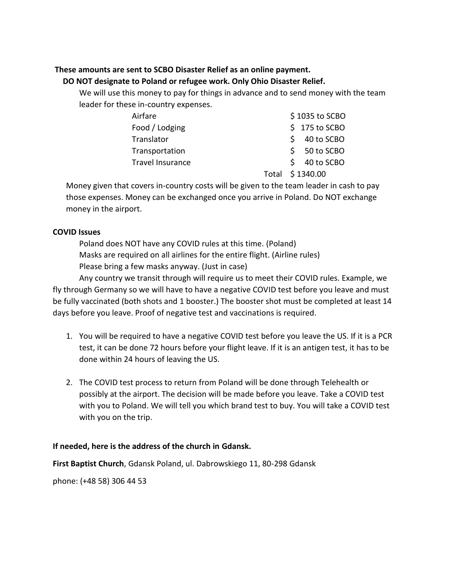## **These amounts are sent to SCBO Disaster Relief as an online payment.**

## **DO NOT designate to Poland or refugee work. Only Ohio Disaster Relief.**

We will use this money to pay for things in advance and to send money with the team leader for these in-country expenses.

| Airfare                 | \$1035 to SCBO   |
|-------------------------|------------------|
| Food / Lodging          | $$175$ to SCBO   |
| Translator              | 40 to SCBO<br>S. |
| Transportation          | $$50$ to SCBO    |
| <b>Travel Insurance</b> | 40 to SCBO<br>S. |
|                         | Total \$1340.00  |

Money given that covers in-country costs will be given to the team leader in cash to pay those expenses. Money can be exchanged once you arrive in Poland. Do NOT exchange money in the airport.

# **COVID Issues**

Poland does NOT have any COVID rules at this time. (Poland) Masks are required on all airlines for the entire flight. (Airline rules) Please bring a few masks anyway. (Just in case)

Any country we transit through will require us to meet their COVID rules. Example, we fly through Germany so we will have to have a negative COVID test before you leave and must be fully vaccinated (both shots and 1 booster.) The booster shot must be completed at least 14 days before you leave. Proof of negative test and vaccinations is required.

- 1. You will be required to have a negative COVID test before you leave the US. If it is a PCR test, it can be done 72 hours before your flight leave. If it is an antigen test, it has to be done within 24 hours of leaving the US.
- 2. The COVID test process to return from Poland will be done through Telehealth or possibly at the airport. The decision will be made before you leave. Take a COVID test with you to Poland. We will tell you which brand test to buy. You will take a COVID test with you on the trip.

# **If needed, here is the address of the church in Gdansk.**

**First Baptist Church**, Gdansk Poland, ul. Dabrowskiego 11, 80-298 Gdansk

phone: (+48 58) 306 44 53